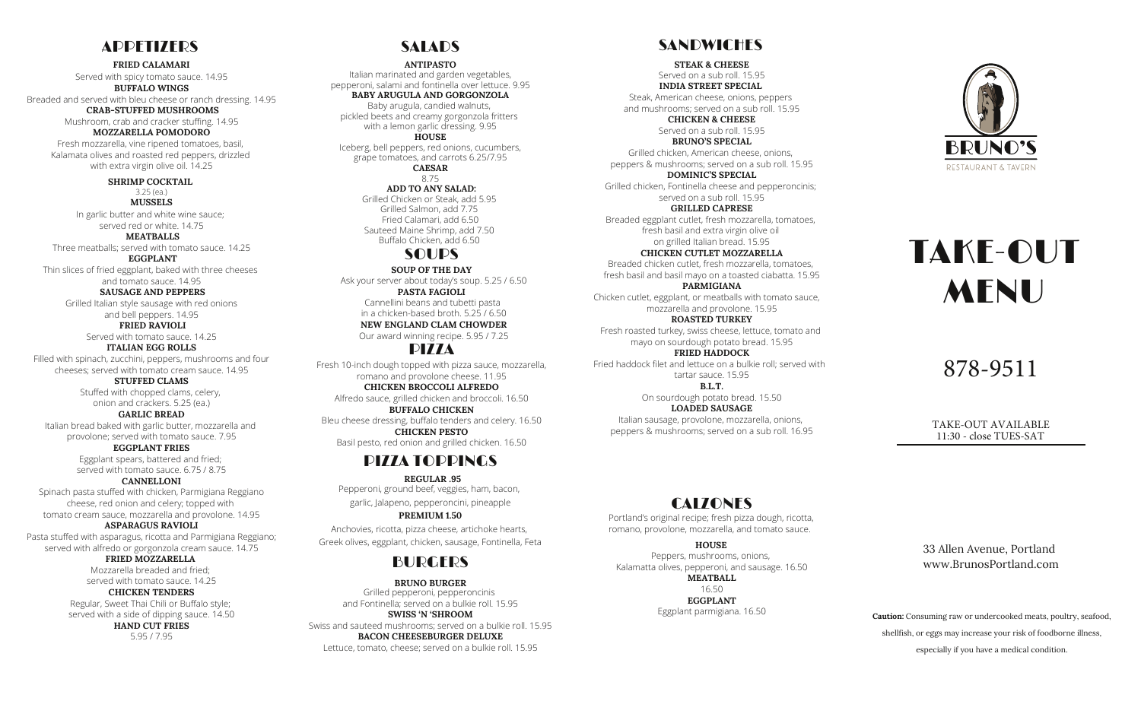## **ADDETIZERS**

**FRIED CALAMARI**

Served with spicy tomato sauce. 14.95 **BUFFALO WINGS** Breaded and served with bleu cheese or ranch dressing. 14.95

> **CRAB-STUFFED MUSHROOMS** Mushroom, crab and cracker stuffing. 14.95 **MOZZARELLA POMODORO**

Fresh mozzarella, vine ripened tomatoes, basil, Kalamata olives and roasted red peppers, drizzled with extra virgin olive oil. 14.25

> **SHRIMP COCKTAIL** 3.25 (ea.) **MUSSELS**

In garlic butter and white wine sauce; served red or white. 14.75 **MEATBALLS**

Three meatballs; served with tomato sauce. 14.25

**EGGPLANT** Thin slices of fried eggplant, baked with three cheeses and tomato sauce. 14.95

> **SAUSAGE AND PEPPERS** Grilled Italian style sausage with red onions and bell peppers. 14.95 **FRIED RAVIOLI**

Served with tomato sauce. 14.25

**ITALIAN EGG ROLLS** Filled with spinach, zucchini, peppers, mushrooms and four cheeses; served with tomato cream sauce. 14.95

> **STUFFED CLAMS** Stuffed with chopped clams, celery, onion and crackers. 5.25 (ea.)

**GARLIC BREAD**

Italian bread baked with garlic butter, mozzarella and provolone; served with tomato sauce. 7.95

> **EGGPLANT FRIES** Eggplant spears, battered and fried; served with tomato sauce. 6.75 / 8.75

**CANNELLONI** Spinach pasta stuffed with chicken, Parmigiana Reggiano

cheese, red onion and celery; topped with tomato cream sauce, mozzarella and provolone. 14.95 **ASPARAGUS RAVIOLI**

Pasta stuffed with asparagus, ricotta and Parmigiana Reggiano; served with alfredo or gorgonzola cream sauce. 14.75 **FRIED MOZZARELLA**

> Mozzarella breaded and fried; served with tomato sauce. 14.25

> > **CHICKEN TENDERS**

Regular, Sweet Thai Chili or Buffalo style; served with a side of dipping sauce. 14.50 **HAND CUT FRIES**

5.95 / 7.95

## **SALADS**

Italian marinated and garden vegetables, pepperoni, salami and fontinella over lettuce. 9.95 **BABY ARUGULA AND GORGONZOLA** Baby arugula, candied walnuts, pickled beets and creamy gorgonzola fritters with a lemon garlic dressing. 9.95 **HOUSE** Iceberg, bell peppers, red onions, cucumbers, grape tomatoes, and carrots 6.25/7.95 **CAESAR** 8.75 **ADD TO ANY SALAD:** Grilled Chicken or Steak, add 5.95 Grilled Salmon, add 7.75 Fried Calamari, add 6.50 Sauteed Maine Shrimp, add 7.50 Buffalo Chicken, add 6.50 **ANTIPASTO SOUP OF THE DAY** SOUPS

Ask your server about today's soup. 5.25 / 6.50 Cannellini beans and tubetti pasta in a chicken-based broth. 5.25 / 6.50 **NEW ENGLAND CLAM CHOWDER** Our award winning recipe. 5.95 / 7.25 **PASTA FAGIOLI**

## PIZZA

Fresh 10-inch dough topped with pizza sauce, mozzarella, romano and provolone cheese. 11.95 **CHICKEN BROCCOLI ALFREDO** Alfredo sauce, grilled chicken and broccoli. 16.50 **BUFFALO CHICKEN**

Bleu cheese dressing, buffalo tenders and celery. 16.50 **CHICKEN PESTO** Basil pesto, red onion and grilled chicken. 16.50

## PIZZA TOPPINGS

Pepperoni, ground beef, veggies, ham, bacon, garlic, Jalapeno, pepperoncini, pineapple **REGULAR .95**

**PREMIUM 1.50** Anchovies, ricotta, pizza cheese, artichoke hearts, Greek olives, eggplant, chicken, sausage, Fontinella, Feta

## BURGERS

Grilled pepperoni, pepperoncinis and Fontinella; served on a bulkie roll. 15.95 **SWISS 'N 'SHROOM** Swiss and sauteed mushrooms; served on a bulkie roll. 15.95 **BACON CHEESEBURGER DELUXE** Lettuce, tomato, cheese; served on a bulkie roll. 15.95 **BRUNO BURGER**

## **SANDWICHES**

Served on a sub roll. 15.95 **STEAK & CHEESE INDIA STREET SPECIAL**

Steak, American cheese, onions, peppers and mushrooms; served on a sub roll. 15.95

> **CHICKEN & CHEESE** Served on a sub roll. 15.95 **BRUNO'S SPECIAL**

Grilled chicken, American cheese, onions, peppers & mushrooms; served on a sub roll. 15.95

**DOMINIC'S SPECIAL** Grilled chicken, Fontinella cheese and pepperoncinis; served on a sub roll. 15.95 **GRILLED CAPRESE** Breaded eggplant cutlet, fresh mozzarella, tomatoes,

fresh basil and extra virgin olive oil on grilled Italian bread. 15.95 **CHICKEN CUTLET MOZZARELLA**

Breaded chicken cutlet, fresh mozzarella, tomatoes, fresh basil and basil mayo on a toasted ciabatta. 15.95 **PARMIGIANA** Chicken cutlet, eggplant, or meatballs with tomato sauce,

mozzarella and provolone. 15.95 **ROASTED TURKEY** Fresh roasted turkey, swiss cheese, lettuce, tomato and mayo on sourdough potato bread. 15.95 **FRIED HADDOCK** Fried haddock filet and lettuce on a bulkie roll; served with

tartar sauce. 15.95 **B.L.T.** On sourdough potato bread. 15.50 **LOADED SAUSAGE**

Italian sausage, provolone, mozzarella, onions, peppers & mushrooms; served on a sub roll. 16.95

## **CALZONES**

Portland's original recipe; fresh pizza dough, ricotta, romano, provolone, mozzarella, and tomato sauce.

Peppers, mushrooms, onions, Kalamatta olives, pepperoni, and sausage. 16.50 **MEATBALL** 16.50 **EGGPLANT HOUSE**

Eggplant parmigiana. 16.50



# TAKE-OUT **MENU**

878-9511

TAKE-OUT AVAILABLE 11:30 - close TUES-SAT

33 Allen Avenue, Portland www.BrunosPortland.com

**Caution:** Consuming raw or undercooked meats, poultry, seafood, shellfish, or eggs may increase your risk of foodborne illness, especially if you have a medical condition.